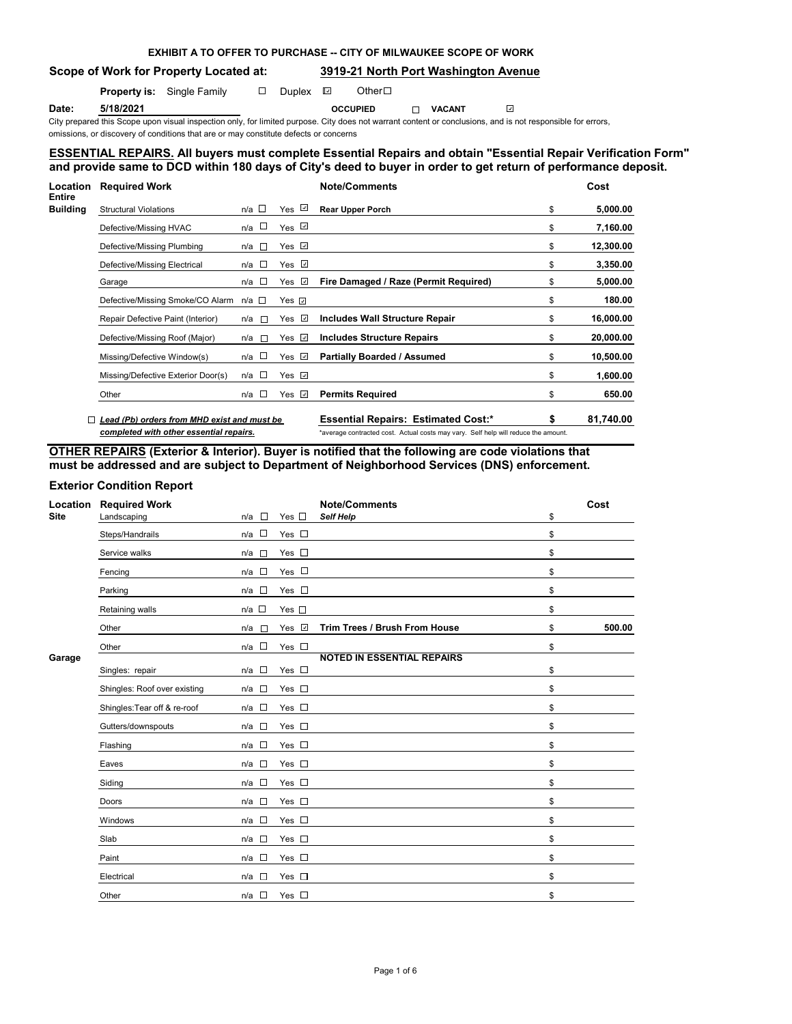# **EXHIBIT A TO OFFER TO PURCHASE -- CITY OF MILWAUKEE SCOPE OF WORK**

**Scope of Work for Property Located at: 3919-21 North Port Washington Avenue**

 $\omega$ 

**Property is:** Single Family  $\Box$  Duplex  $\Box$  Other  $\Box$ 

**Date: 5/18/2021 OCCUPIED VACANT**

City prepared this Scope upon visual inspection only, for limited purpose. City does not warrant content or conclusions, and is not responsible for errors, omissions, or discovery of conditions that are or may constitute defects or concerns

## **ESSENTIAL REPAIRS. All buyers must complete Essential Repairs and obtain "Essential Repair Verification Form" and provide same to DCD within 180 days of City's deed to buyer in order to get return of performance deposit.**

| Location                         | <b>Required Work</b>                        |                                 |                | <b>Note/Comments</b>                                                               | Cost      |
|----------------------------------|---------------------------------------------|---------------------------------|----------------|------------------------------------------------------------------------------------|-----------|
| <b>Entire</b><br><b>Building</b> | <b>Structural Violations</b>                | $n/a$ $\square$                 | Yes $\sqrt{2}$ | <b>Rear Upper Porch</b><br>\$                                                      | 5,000.00  |
|                                  | Defective/Missing HVAC                      | $\overline{\phantom{a}}$<br>n/a | Yes $\sqrt{ }$ | \$                                                                                 | 7,160.00  |
|                                  | Defective/Missing Plumbing                  | $\overline{a}$<br>n/a           | Yes ⊡          | \$                                                                                 | 12,300.00 |
|                                  | Defective/Missing Electrical                | n/a $\square$                   | Yes <b>√</b>   | \$                                                                                 | 3,350.00  |
|                                  | Garage                                      | $n/a$ $\square$                 | Yes $\Box$     | Fire Damaged / Raze (Permit Required)<br>\$                                        | 5,000.00  |
|                                  | Defective/Missing Smoke/CO Alarm            | n/a □                           | Yes <i>⊻</i>   | \$                                                                                 | 180.00    |
|                                  | Repair Defective Paint (Interior)           | n/a<br>$\Box$                   | Yes ⊻          | Includes Wall Structure Repair<br>\$                                               | 16,000.00 |
|                                  | Defective/Missing Roof (Major)              | n/a<br>$\sim$                   | Yes ⊡          | <b>Includes Structure Repairs</b><br>\$                                            | 20,000.00 |
|                                  | Missing/Defective Window(s)                 | <b>TO</b><br>n/a                | Yes $\sqrt{2}$ | <b>Partially Boarded / Assumed</b><br>\$                                           | 10,500.00 |
|                                  | Missing/Defective Exterior Door(s)          | $n/a$ $\square$                 | Yes $\sqrt{2}$ | \$                                                                                 | 1,600.00  |
|                                  | Other                                       | $\overline{a}$<br>n/a           | Yes <b></b>    | <b>Permits Required</b><br>\$                                                      | 650.00    |
|                                  | Lead (Pb) orders from MHD exist and must be |                                 |                | <b>Essential Repairs: Estimated Cost:*</b><br>\$                                   | 81,740.00 |
|                                  | completed with other essential repairs.     |                                 |                | *average contracted cost. Actual costs may vary. Self help will reduce the amount. |           |

**OTHER REPAIRS (Exterior & Interior). Buyer is notified that the following are code violations that must be addressed and are subject to Department of Neighborhood Services (DNS) enforcement.**

# **Exterior Condition Report**

| Location<br><b>Site</b> | <b>Required Work</b><br>Landscaping | $\Box$<br>n/a                      | Yes $\square$ | <b>Note/Comments</b><br><b>Self Help</b> | \$<br>Cost   |
|-------------------------|-------------------------------------|------------------------------------|---------------|------------------------------------------|--------------|
|                         | Steps/Handrails                     | $\Box$<br>n/a                      | Yes $\square$ |                                          | \$           |
|                         | Service walks                       | n/a<br>$\Box$                      | Yes $\square$ |                                          | \$           |
|                         | Fencing                             | $\overline{\phantom{a}}$<br>n/a    | Yes $\square$ |                                          | \$           |
|                         | Parking                             | $\sim$<br>n/a                      | Yes $\square$ |                                          | \$           |
|                         | Retaining walls                     | $n/a$ $\square$                    | Yes $\square$ |                                          | \$           |
|                         | Other                               | n/a<br>$\Box$                      | Yes <b>√</b>  | Trim Trees / Brush From House            | \$<br>500.00 |
|                         | Other                               | $n/a$ $\square$                    | Yes $\square$ |                                          | \$           |
| Garage                  | Singles: repair                     | $\sim$<br>n/a                      | Yes $\square$ | <b>NOTED IN ESSENTIAL REPAIRS</b>        | \$           |
|                         | Shingles: Roof over existing        | $\Box$<br>n/a                      | Yes $\square$ |                                          | \$           |
|                         | Shingles: Tear off & re-roof        | $\overline{\phantom{a}}$<br>n/a    | Yes $\square$ |                                          | \$           |
|                         | Gutters/downspouts                  | $\overline{\phantom{a}}$<br>n/a    | Yes $\square$ |                                          | \$           |
|                         | Flashing                            | n/a<br>$\mathcal{L}_{\mathcal{A}}$ | Yes $\square$ |                                          | \$           |
|                         | Eaves                               | $\sim$<br>n/a                      | Yes $\square$ |                                          | \$           |
|                         | Siding                              | $\sim$<br>n/a                      | Yes $\square$ |                                          | \$           |
|                         | Doors                               | $\sim$<br>n/a                      | Yes $\square$ |                                          | \$           |
|                         | Windows                             | $\overline{\phantom{a}}$<br>n/a    | Yes $\square$ |                                          | \$           |
|                         | Slab                                | $\Box$<br>n/a                      | Yes $\square$ |                                          | \$           |
|                         | Paint                               | $\mathcal{L}_{\rm{eff}}$<br>n/a    | Yes $\square$ |                                          | \$           |
|                         | Electrical                          | <b>A</b><br>n/a                    | Yes $\square$ |                                          | \$           |
|                         | Other                               | $\sim$<br>n/a                      | Yes $\square$ |                                          | \$           |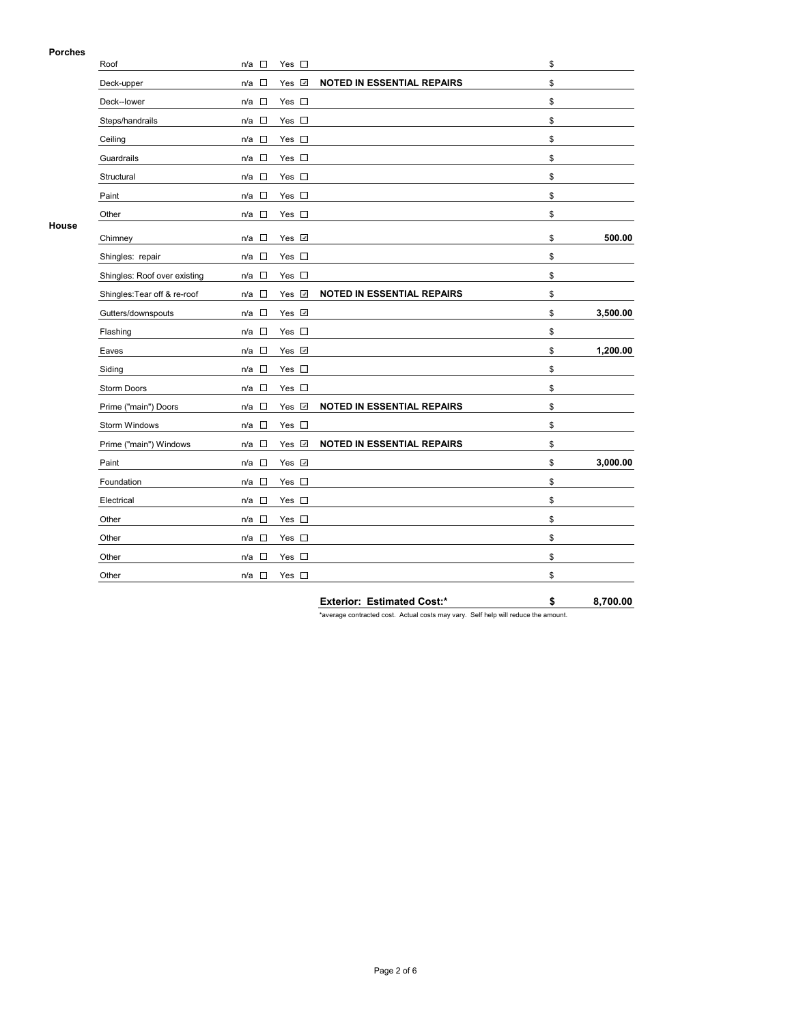## **Porches**

|       | Roof                         | $\Box$<br>n/a                   | Yes $\square$ |                                   | \$             |
|-------|------------------------------|---------------------------------|---------------|-----------------------------------|----------------|
|       | Deck-upper                   | $\overline{\phantom{a}}$<br>n/a | Yes <b>√</b>  | <b>NOTED IN ESSENTIAL REPAIRS</b> | \$             |
|       | Deck--lower                  | $\Box$<br>n/a                   | Yes $\square$ |                                   | \$             |
|       | Steps/handrails              | $\Box$<br>n/a                   | Yes $\square$ |                                   | \$             |
|       | Ceiling                      | $\overline{\phantom{a}}$<br>n/a | Yes $\square$ |                                   | \$             |
|       | Guardrails                   | $\sim$<br>n/a                   | Yes $\square$ |                                   | \$             |
|       | Structural                   | $\Box$<br>n/a                   | Yes $\square$ |                                   | \$             |
|       | Paint                        | $\Box$<br>n/a                   | Yes $\square$ |                                   | \$             |
|       | Other                        | $\overline{\phantom{a}}$<br>n/a | Yes $\square$ |                                   | \$             |
| House | Chimney                      | $\overline{\phantom{a}}$<br>n/a | Yes <b>√</b>  |                                   | \$<br>500.00   |
|       | Shingles: repair             | $\Box$<br>n/a                   | Yes $\square$ |                                   | \$             |
|       | Shingles: Roof over existing | $\Box$<br>n/a                   | Yes $\square$ |                                   | \$             |
|       | Shingles: Tear off & re-roof | $\Box$<br>n/a                   | Yes √         | <b>NOTED IN ESSENTIAL REPAIRS</b> | \$             |
|       | Gutters/downspouts           | $\Box$<br>n/a                   | Yes √         |                                   | \$<br>3,500.00 |
|       | Flashing                     | $\Box$<br>n/a                   | Yes $\square$ |                                   | \$             |
|       | Eaves                        | $\Box$<br>n/a                   | Yes Z         |                                   | \$<br>1,200.00 |
|       | Siding                       | $\Box$<br>n/a                   | Yes $\square$ |                                   | \$             |
|       | Storm Doors                  | $\Box$<br>n/a                   | Yes $\square$ |                                   | \$             |
|       | Prime ("main") Doors         | $\Box$<br>n/a                   | Yes v         | <b>NOTED IN ESSENTIAL REPAIRS</b> | \$             |
|       | Storm Windows                | $\Box$<br>n/a                   | Yes $\square$ |                                   | \$             |
|       | Prime ("main") Windows       | $\overline{\phantom{a}}$<br>n/a | Yes <b>☑</b>  | <b>NOTED IN ESSENTIAL REPAIRS</b> | \$             |
|       | Paint                        | □<br>n/a                        | Yes v         |                                   | \$<br>3,000.00 |
|       | Foundation                   | $\Box$<br>n/a                   | Yes $\square$ |                                   | \$             |
|       | Electrical                   | $\Box$<br>n/a                   | Yes $\square$ |                                   | \$             |
|       | Other                        | $\Box$<br>n/a                   | Yes $\square$ |                                   | \$             |
|       | Other                        | $\Box$<br>n/a                   | Yes $\square$ |                                   | \$             |
|       | Other                        | $\overline{\phantom{a}}$<br>n/a | Yes $\square$ |                                   | \$             |
|       | Other                        | $\Box$<br>n/a                   | Yes $\square$ |                                   | \$             |
|       |                              |                                 |               | <b>Exterior: Estimated Cost:*</b> | \$<br>8,700.00 |

\*average contracted cost. Actual costs may vary. Self help will reduce the amount.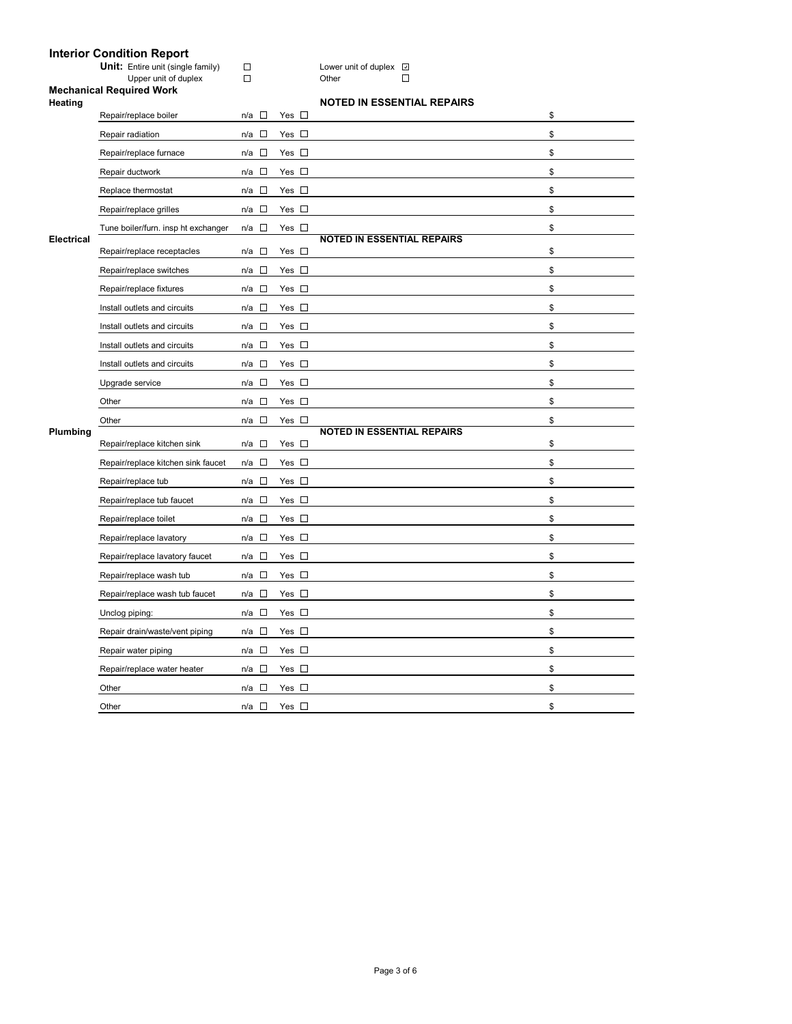| <b>Interior Condition Report</b>         |   |       |  |  |  |  |  |  |
|------------------------------------------|---|-------|--|--|--|--|--|--|
| <b>Unit:</b> Entire unit (single family) |   | Lower |  |  |  |  |  |  |
| Upper unit of duplex                     | п | Other |  |  |  |  |  |  |

**U**<br>
Unit of duplex **D**<br>
Other D

# **Mechanical Required Work**

| Heating | <b>NOTED IN ESSENTIAL REPAIRS</b> |
|---------|-----------------------------------|

|                   | Repair/replace boiler               | $\sim 10$<br>n/a                   | Yes $\square$ |                                   | \$ |
|-------------------|-------------------------------------|------------------------------------|---------------|-----------------------------------|----|
|                   | Repair radiation                    | $n/a$ $\square$                    | Yes $\square$ |                                   | \$ |
|                   | Repair/replace furnace              | $\sim$<br>n/a                      | Yes $\square$ |                                   | \$ |
|                   | Repair ductwork                     | $\Box$<br>n/a                      | Yes $\square$ |                                   | \$ |
|                   | Replace thermostat                  | n/a $\square$                      | Yes $\square$ |                                   | \$ |
|                   | Repair/replace grilles              | $\Box$<br>n/a                      | Yes $\square$ |                                   | \$ |
|                   | Tune boiler/furn. insp ht exchanger | $n/a$ $\square$                    | Yes $\square$ |                                   | \$ |
| <b>Electrical</b> | Repair/replace receptacles          | n/a □                              | Yes $\square$ | <b>NOTED IN ESSENTIAL REPAIRS</b> | \$ |
|                   | Repair/replace switches             | $\overline{a}$<br>n/a              | Yes $\square$ |                                   | \$ |
|                   | Repair/replace fixtures             | n/a □                              | Yes $\square$ |                                   | \$ |
|                   | Install outlets and circuits        | $\sim$<br>n/a                      | Yes $\square$ |                                   | \$ |
|                   | Install outlets and circuits        | $\Box$<br>n/a                      | Yes $\square$ |                                   | \$ |
|                   | Install outlets and circuits        | n/a $\square$                      | Yes $\square$ |                                   | \$ |
|                   | Install outlets and circuits        | □<br>n/a                           | Yes $\square$ |                                   | \$ |
|                   | Upgrade service                     | $\sim$<br>n/a                      | Yes $\square$ |                                   | \$ |
|                   | Other                               | $n/a$ $\square$                    | Yes $\square$ |                                   | \$ |
|                   |                                     |                                    |               |                                   |    |
|                   | Other                               | $n/a$ $\square$                    | Yes $\square$ |                                   | \$ |
| Plumbing          | Repair/replace kitchen sink         | $n/a$ $\square$                    | Yes $\square$ | <b>NOTED IN ESSENTIAL REPAIRS</b> | \$ |
|                   | Repair/replace kitchen sink faucet  | n/a<br><b>IS</b>                   | Yes $\square$ |                                   | \$ |
|                   | Repair/replace tub                  | $\Box$<br>n/a                      | Yes $\square$ |                                   | \$ |
|                   | Repair/replace tub faucet           | n/a $\square$                      | Yes $\square$ |                                   | \$ |
|                   | Repair/replace toilet               | $\Box$<br>n/a                      | Yes $\square$ |                                   | \$ |
|                   | Repair/replace lavatory             | n/a □                              | Yes $\square$ |                                   | \$ |
|                   | Repair/replace lavatory faucet      | $n/a$ $\square$                    | Yes $\square$ |                                   | \$ |
|                   | Repair/replace wash tub             | $\Box$<br>n/a                      | Yes $\square$ |                                   | \$ |
|                   | Repair/replace wash tub faucet      | $\sim$<br>n/a                      | Yes $\square$ |                                   | \$ |
|                   | Unclog piping:                      | $n/a$ $\square$                    | Yes $\square$ |                                   | \$ |
|                   | Repair drain/waste/vent piping      | $\overline{\phantom{a}}$<br>n/a    | Yes $\square$ |                                   | \$ |
|                   | Repair water piping                 | $n/a$ $\square$                    | Yes $\square$ |                                   | \$ |
|                   | Repair/replace water heater         | $\mathcal{L}_{\mathcal{A}}$<br>n/a | Yes $\square$ |                                   | \$ |
|                   | Other                               | $n/a$ $\square$                    | Yes $\square$ |                                   | \$ |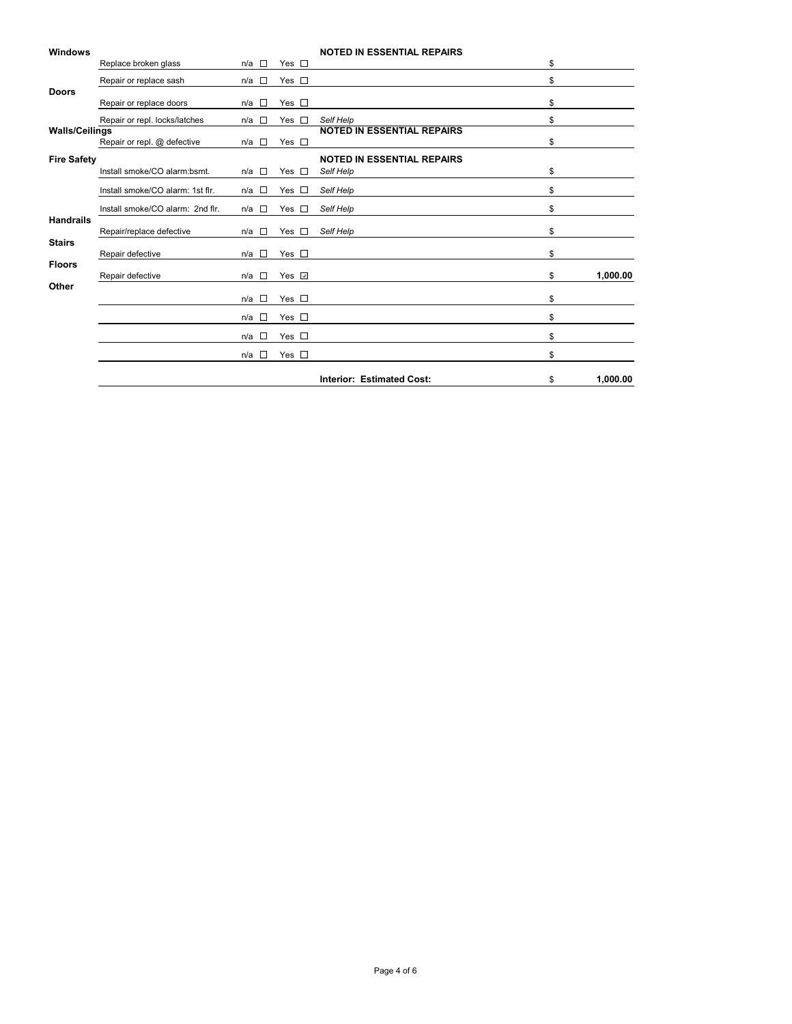| <b>Windows</b>        |                                  |                                    |                                 | <b>NOTED IN ESSENTIAL REPAIRS</b> |                |
|-----------------------|----------------------------------|------------------------------------|---------------------------------|-----------------------------------|----------------|
|                       | Replace broken glass             | $\overline{a}$<br>n/a              | Yes $\square$                   |                                   | \$             |
|                       | Repair or replace sash           | $\mathcal{L}_{\mathcal{A}}$<br>n/a | Yes $\square$                   |                                   | \$             |
| <b>Doors</b>          |                                  |                                    |                                 |                                   |                |
|                       | Repair or replace doors          | $\sim$<br>n/a                      | Yes $\square$                   |                                   | \$             |
|                       | Repair or repl. locks/latches    | $\sim$<br>n/a                      | Yes $\square$                   | Self Help                         | \$             |
| <b>Walls/Ceilings</b> |                                  |                                    |                                 | <b>NOTED IN ESSENTIAL REPAIRS</b> |                |
|                       | Repair or repl. @ defective      | $n/a$ $\square$                    | Yes $\square$                   |                                   | \$             |
| <b>Fire Safety</b>    |                                  |                                    |                                 | <b>NOTED IN ESSENTIAL REPAIRS</b> |                |
|                       | Install smoke/CO alarm:bsmt.     | $n/a$ $\square$                    | Yes $\square$                   | Self Help                         | \$             |
|                       | Install smoke/CO alarm: 1st flr. | $n/a$ $\square$                    | Yes $\square$                   | Self Help                         | \$             |
|                       | Install smoke/CO alarm: 2nd flr. | $\sim$<br>n/a                      | Yes $\square$                   | Self Help                         | \$             |
| <b>Handrails</b>      | Repair/replace defective         | n/a<br>$\sim$                      | Yes<br>$\mathcal{L}_{\rm{eff}}$ | Self Help                         | \$             |
| <b>Stairs</b>         | Repair defective                 | $\sim$<br>n/a                      | Yes $\square$                   |                                   | \$             |
| <b>Floors</b>         |                                  |                                    |                                 |                                   |                |
| Other                 | Repair defective                 | П<br>n/a                           | Yes √                           |                                   | \$<br>1,000.00 |
|                       |                                  | $\sim$<br>n/a                      | Yes $\square$                   |                                   | \$             |
|                       |                                  | $\Box$<br>n/a                      | Yes $\square$                   |                                   | \$             |
|                       |                                  | $\Box$<br>n/a                      | Yes $\square$                   |                                   | \$             |
|                       |                                  | $\Box$<br>n/a                      | Yes $\square$                   |                                   | \$             |
|                       |                                  |                                    |                                 | <b>Interior: Estimated Cost:</b>  | \$<br>1,000.00 |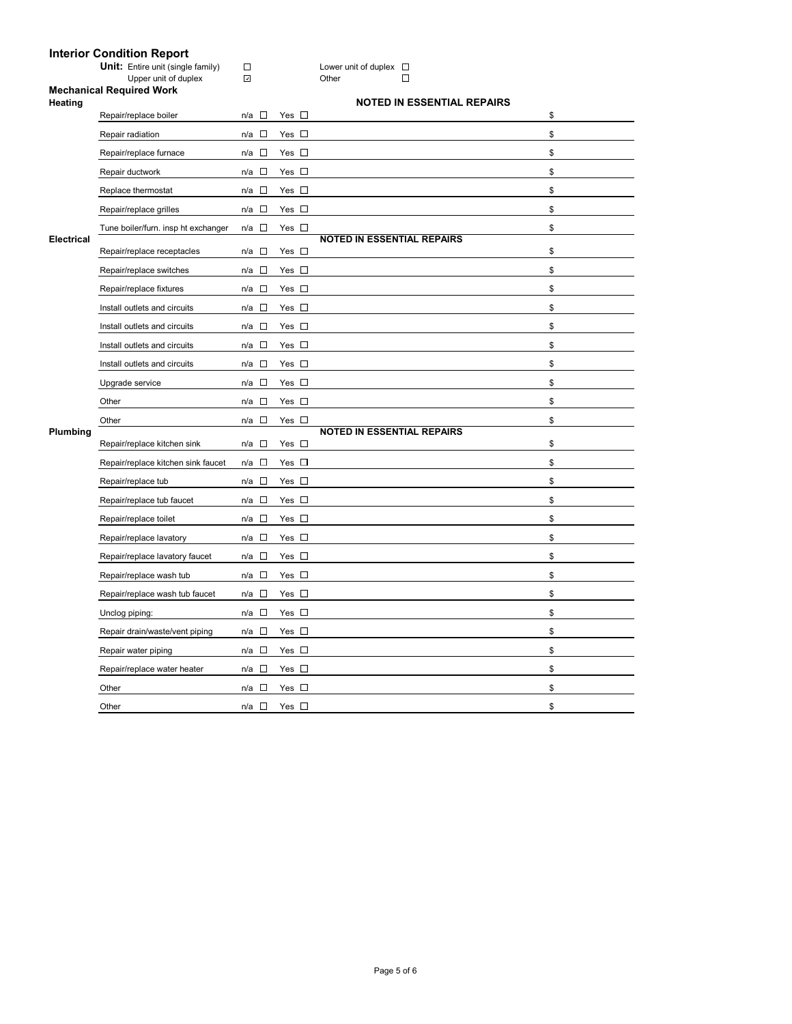### **Interior Condition Report**

Upper unit of duplex Distribution of  $\Box$ 

# **Mechanical Required Work**

| <b>Heating</b>    |                                     |                                 |               | <b>NOTED IN ESSENTIAL REPAIRS</b> |    |
|-------------------|-------------------------------------|---------------------------------|---------------|-----------------------------------|----|
|                   | Repair/replace boiler               | $\sim$<br>n/a                   | Yes $\square$ |                                   | \$ |
|                   | Repair radiation                    | $n/a$ $\square$                 | Yes $\square$ |                                   | \$ |
|                   | Repair/replace furnace              | $\overline{\phantom{a}}$<br>n/a | Yes $\square$ |                                   | \$ |
|                   | Repair ductwork                     | $n/a$ $\square$                 | Yes $\square$ |                                   | \$ |
|                   | Replace thermostat                  | $\Box$<br>n/a                   | Yes $\square$ |                                   | \$ |
|                   | Repair/replace grilles              | $n/a$ $\square$                 | Yes $\square$ |                                   | \$ |
|                   | Tune boiler/furn. insp ht exchanger | $\Box$<br>n/a                   | Yes $\square$ |                                   | \$ |
| <b>Electrical</b> | Repair/replace receptacles          | $\sim 10$<br>n/a                | Yes $\square$ | <b>NOTED IN ESSENTIAL REPAIRS</b> | \$ |
|                   | Repair/replace switches             | $n/a$ $\square$                 | Yes $\square$ |                                   | \$ |
|                   | Repair/replace fixtures             | $\Box$<br>n/a                   | Yes $\Box$    |                                   | \$ |
|                   | Install outlets and circuits        | $n/a$ $\square$                 | Yes $\square$ |                                   | \$ |
|                   | Install outlets and circuits        | $\sim$<br>n/a                   | Yes $\square$ |                                   | \$ |
|                   | Install outlets and circuits        | $\Box$<br>n/a                   | Yes $\square$ |                                   | \$ |
|                   | Install outlets and circuits        | $n/a$ $\square$                 | Yes $\square$ |                                   | \$ |
|                   | Upgrade service                     | $\sim 10$<br>n/a                | Yes $\square$ |                                   | \$ |
|                   | Other                               | $\Box$<br>n/a                   | Yes $\square$ |                                   | \$ |
|                   | Other                               | $\overline{\phantom{a}}$<br>n/a | Yes $\square$ |                                   | \$ |
| Plumbing          | Repair/replace kitchen sink         | $\mathbb{R}^n$<br>n/a           | Yes $\square$ | <b>NOTED IN ESSENTIAL REPAIRS</b> | \$ |
|                   | Repair/replace kitchen sink faucet  | $n/a$ $\square$                 | Yes $\square$ |                                   | \$ |
|                   | Repair/replace tub                  | $\sim 10$<br>n/a                | Yes $\square$ |                                   | \$ |
|                   | Repair/replace tub faucet           | $n/a$ $\square$                 | Yes $\square$ |                                   | \$ |
|                   | Repair/replace toilet               | $\overline{\phantom{a}}$<br>n/a | Yes $\square$ |                                   | \$ |
|                   |                                     |                                 |               |                                   |    |
|                   | Repair/replace lavatory             | $n/a$ $\square$                 | Yes $\square$ |                                   | \$ |
|                   | Repair/replace lavatory faucet      | o<br>n/a                        | Yes $\square$ |                                   | \$ |
|                   | Repair/replace wash tub             | $\mathbb{Z}$<br>n/a             | Yes $\square$ |                                   | \$ |
|                   | Repair/replace wash tub faucet      | $n/a$ $\square$                 | Yes $\square$ |                                   | \$ |
|                   | Unclog piping:                      | $\sim 10$<br>n/a                | Yes $\square$ |                                   | \$ |
|                   | Repair drain/waste/vent piping      | $n/a$ $\square$                 | Yes $\square$ |                                   | \$ |
|                   | Repair water piping                 | n/a                             | Yes $\square$ |                                   | \$ |
|                   | Repair/replace water heater         | $\Box$<br>n/a                   | Yes $\square$ |                                   | \$ |
|                   | Other                               | $\sim$<br>n/a                   | Yes $\square$ |                                   | \$ |